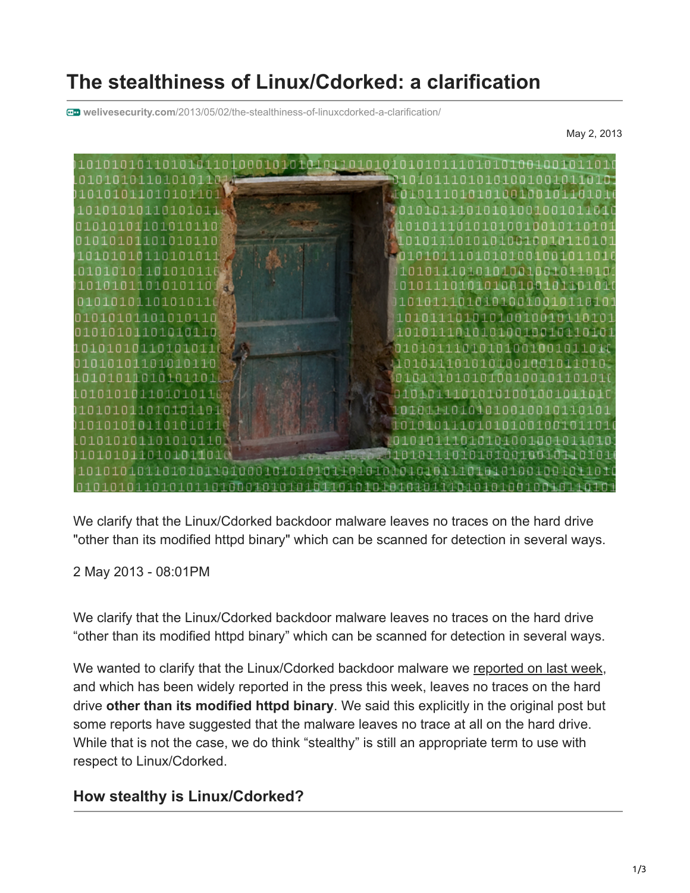# **The stealthiness of Linux/Cdorked: a clarification**

**welivesecurity.com**[/2013/05/02/the-stealthiness-of-linuxcdorked-a-clarification/](https://www.welivesecurity.com/2013/05/02/the-stealthiness-of-linuxcdorked-a-clarification/)

May 2, 2013



We clarify that the Linux/Cdorked backdoor malware leaves no traces on the hard drive "other than its modified httpd binary" which can be scanned for detection in several ways.

2 May 2013 - 08:01PM

We clarify that the Linux/Cdorked backdoor malware leaves no traces on the hard drive "other than its modified httpd binary" which can be scanned for detection in several ways.

We wanted to clarify that the Linux/Cdorked backdoor malware we [reported on last week](https://www.welivesecurity.com/2013/04/26/linuxcdorked-new-apache-backdoor-in-the-wild-serves-blackhole/), and which has been widely reported in the press this week, leaves no traces on the hard drive **other than its modified httpd binary**. We said this explicitly in the original post but some reports have suggested that the malware leaves no trace at all on the hard drive. While that is not the case, we do think "stealthy" is still an appropriate term to use with respect to Linux/Cdorked.

## **How stealthy is Linux/Cdorked?**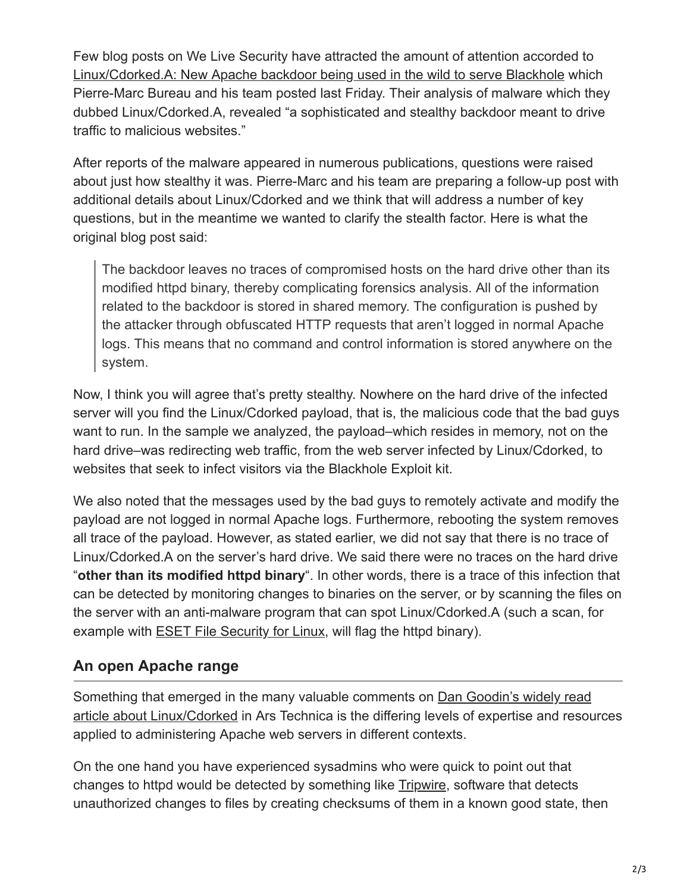Few blog posts on We Live Security have attracted the amount of attention accorded to [Linux/Cdorked.A: New Apache backdoor being used in the wild to serve Blackhole](https://www.welivesecurity.com/2013/04/26/linuxcdorked-new-apache-backdoor-in-the-wild-serves-blackhole) which Pierre-Marc Bureau and his team posted last Friday. Their analysis of malware which they dubbed Linux/Cdorked.A, revealed "a sophisticated and stealthy backdoor meant to drive traffic to malicious websites."

After reports of the malware appeared in numerous publications, questions were raised about just how stealthy it was. Pierre-Marc and his team are preparing a follow-up post with additional details about Linux/Cdorked and we think that will address a number of key questions, but in the meantime we wanted to clarify the stealth factor. Here is what the original blog post said:

The backdoor leaves no traces of compromised hosts on the hard drive other than its modified httpd binary, thereby complicating forensics analysis. All of the information related to the backdoor is stored in shared memory. The configuration is pushed by the attacker through obfuscated HTTP requests that aren't logged in normal Apache logs. This means that no command and control information is stored anywhere on the system.

Now, I think you will agree that's pretty stealthy. Nowhere on the hard drive of the infected server will you find the Linux/Cdorked payload, that is, the malicious code that the bad guys want to run. In the sample we analyzed, the payload–which resides in memory, not on the hard drive–was redirecting web traffic, from the web server infected by Linux/Cdorked, to websites that seek to infect visitors via the Blackhole Exploit kit.

We also noted that the messages used by the bad guys to remotely activate and modify the payload are not logged in normal Apache logs. Furthermore, rebooting the system removes all trace of the payload. However, as stated earlier, we did not say that there is no trace of Linux/Cdorked.A on the server's hard drive. We said there were no traces on the hard drive "**other than its modified httpd binary**". In other words, there is a trace of this infection that can be detected by monitoring changes to binaries on the server, or by scanning the files on the server with an anti-malware program that can spot Linux/Cdorked.A (such a scan, for example with **ESET File Security for Linux**, will flag the httpd binary).

## **An open Apache range**

[Something that emerged in the many valuable comments on Dan Goodin's widely read](http://arstechnica.com/security/2013/04/admin-beware-attack-hitting-apache-websites-is-invisible-to-the-naked-eye/) article about Linux/Cdorked in Ars Technica is the differing levels of expertise and resources applied to administering Apache web servers in different contexts.

On the one hand you have experienced sysadmins who were quick to point out that changes to httpd would be detected by something like **[Tripwire](http://www.tripwire.org/)**, software that detects unauthorized changes to files by creating checksums of them in a known good state, then